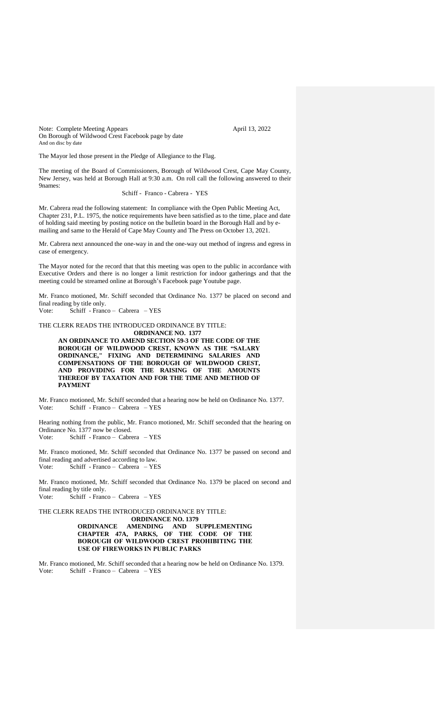Note: Complete Meeting Appears April 13, 2022 On Borough of Wildwood Crest Facebook page by date And on disc by date

The Mayor led those present in the Pledge of Allegiance to the Flag.

The meeting of the Board of Commissioners, Borough of Wildwood Crest, Cape May County, New Jersey, was held at Borough Hall at 9:30 a.m. On roll call the following answered to their 9names:

Schiff - Franco - Cabrera - YES

Mr. Cabrera read the following statement: In compliance with the Open Public Meeting Act, Chapter 231, P.L. 1975, the notice requirements have been satisfied as to the time, place and date of holding said meeting by posting notice on the bulletin board in the Borough Hall and by emailing and same to the Herald of Cape May County and The Press on October 13, 2021.

Mr. Cabrera next announced the one-way in and the one-way out method of ingress and egress in case of emergency.

The Mayor noted for the record that that this meeting was open to the public in accordance with Executive Orders and there is no longer a limit restriction for indoor gatherings and that the meeting could be streamed online at Borough's Facebook page Youtube page.

Mr. Franco motioned, Mr. Schiff seconded that Ordinance No. 1377 be placed on second and final reading by title only.

Vote: Schiff - Franco – Cabrera – YES

THE CLERK READS THE INTRODUCED ORDINANCE BY TITLE: **ORDINANCE NO. 1377**

**AN ORDINANCE TO AMEND SECTION 59-3 OF THE CODE OF THE BOROUGH OF WILDWOOD CREST, KNOWN AS THE "SALARY ORDINANCE," FIXING AND DETERMINING SALARIES AND COMPENSATIONS OF THE BOROUGH OF WILDWOOD CREST, AND PROVIDING FOR THE RAISING OF THE AMOUNTS THEREOF BY TAXATION AND FOR THE TIME AND METHOD OF PAYMENT**

Mr. Franco motioned, Mr. Schiff seconded that a hearing now be held on Ordinance No. 1377. Vote: Schiff - Franco – Cabrera – YES

Hearing nothing from the public, Mr. Franco motioned, Mr. Schiff seconded that the hearing on Ordinance No. 1377 now be closed. Vote: Schiff - Franco – Cabrera – YES

Mr. Franco motioned, Mr. Schiff seconded that Ordinance No. 1377 be passed on second and final reading and advertised according to law. Vote: Schiff - Franco – Cabrera – YES

Mr. Franco motioned, Mr. Schiff seconded that Ordinance No. 1379 be placed on second and final reading by title only. Vote: Schiff - Franco – Cabrera – YES

THE CLERK READS THE INTRODUCED ORDINANCE BY TITLE: **ORDINANCE NO. 1379 ORDINANCE AMENDING AND SUPPLEMENTING CHAPTER 47A, PARKS, OF THE CODE OF THE BOROUGH OF WILDWOOD CREST PROHIBITING THE USE OF FIREWORKS IN PUBLIC PARKS**

Mr. Franco motioned, Mr. Schiff seconded that a hearing now be held on Ordinance No. 1379. Vote: Schiff - Franco – Cabrera – YES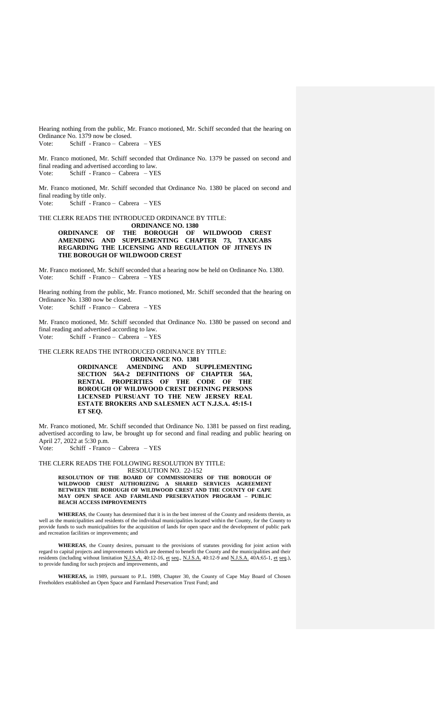Hearing nothing from the public, Mr. Franco motioned, Mr. Schiff seconded that the hearing on Ordinance No. 1379 now be closed. Vote: Schiff - Franco – Cabrera – YES

Mr. Franco motioned, Mr. Schiff seconded that Ordinance No. 1379 be passed on second and final reading and advertised according to law. Vote: Schiff - Franco – Cabrera – YES

Mr. Franco motioned, Mr. Schiff seconded that Ordinance No. 1380 be placed on second and final reading by title only. Vote: Schiff - Franco – Cabrera – YES

THE CLERK READS THE INTRODUCED ORDINANCE BY TITLE: **ORDINANCE NO. 1380 ORDINANCE OF THE BOROUGH OF WILDWOOD CREST AMENDING AND SUPPLEMENTING CHAPTER 73, TAXICABS REGARDING THE LICENSING AND REGULATION OF JITNEYS IN THE BOROUGH OF WILDWOOD CREST**

Mr. Franco motioned, Mr. Schiff seconded that a hearing now be held on Ordinance No. 1380. Vote: Schiff - Franco – Cabrera – YES

Hearing nothing from the public, Mr. Franco motioned, Mr. Schiff seconded that the hearing on Ordinance No. 1380 now be closed. Vote: Schiff - Franco – Cabrera – YES

Mr. Franco motioned, Mr. Schiff seconded that Ordinance No. 1380 be passed on second and final reading and advertised according to law. Vote: Schiff - Franco – Cabrera – YES

THE CLERK READS THE INTRODUCED ORDINANCE BY TITLE:

**ORDINANCE NO. 1381 ORDINANCE AMENDING AND SUPPLEMENTING SECTION 56A-2 DEFINITIONS OF CHAPTER 56A, RENTAL PROPERTIES OF THE CODE OF THE BOROUGH OF WILDWOOD CREST DEFINING PERSONS LICENSED PURSUANT TO THE NEW JERSEY REAL ESTATE BROKERS AND SALESMEN ACT N.J.S.A. 45:15-1 ET SEQ.** 

Mr. Franco motioned, Mr. Schiff seconded that Ordinance No. 1381 be passed on first reading, advertised according to law, be brought up for second and final reading and public hearing on April 27, 2022 at 5:30 p.m.

Vote: Schiff - Franco – Cabrera – YES

THE CLERK READS THE FOLLOWING RESOLUTION BY TITLE:

RESOLUTION NO. 22-152 **RESOLUTION OF THE BOARD OF COMMISSIONERS OF THE BOROUGH OF WILDWOOD CREST AUTHORIZING A SHARED SERVICES AGREEMENT BETWEEN THE BOROUGH OF WILDWOOD CREST AND THE COUNTY OF CAPE MAY OPEN SPACE AND FARMLAND PRESERVATION PROGRAM – PUBLIC BEACH ACCESS IMPROVEMENTS**

**WHEREAS**, the County has determined that it is in the best interest of the County and residents therein, as well as the municipalities and residents of the individual municipalities located within the County, for the County to provide funds to such municipalities for the acquisition of lands for open space and the development of public park and recreation facilities or improvements; and

**WHEREAS**, the County desires, pursuant to the provisions of statutes providing for joint action with regard to capital projects and improvements which are deemed to benefit the County and the municipalities and their residents (including without limitation N.J.S.A. 40:12-16, et seq., N.J.S.A. 40:12-9 and N.J.S.A. 40A:65-1, et seq.), to provide funding for such projects and improvements, and

**WHEREAS,** in 1989, pursuant to P.L. 1989, Chapter 30, the County of Cape May Board of Chosen Freeholders established an Open Space and Farmland Preservation Trust Fund; and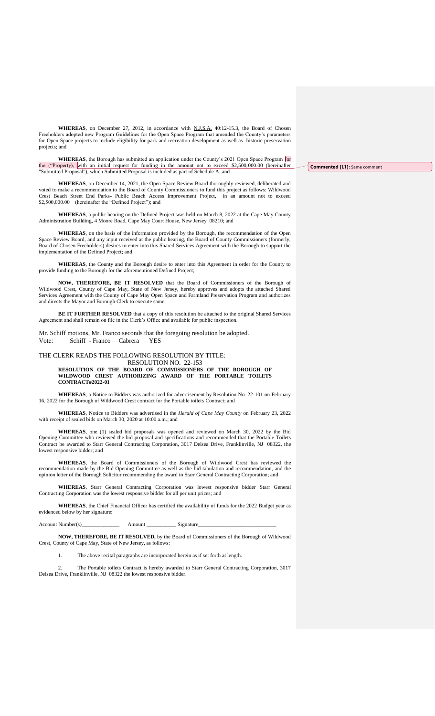**WHEREAS**, on December 27, 2012, in accordance with N.J.S.A. 40:12-15.3, the Board of Chosen Freeholders adopted new Program Guidelines for the Open Space Program that amended the County's parameters for Open Space projects to include eligibility for park and recreation development as well as historic preservation projects; and

**WHEREAS**, the Borough has submitted an application under the County's 2021 Open Space Program for the ("Property), with an initial request for funding in the amount not to exceed \$2,500,000.00 (hereinafter "Submitted Proposal"), which Submitted Proposal is included as part of Schedule A; and

**Commented [L1]:** Same comment

**WHEREAS**, on December 14, 2021, the Open Space Review Board thoroughly reviewed, deliberated and voted to make a recommendation to the Board of County Commissioners to fund this project as follows: Wildwood Crest Beach Street End Parks- Public Beach Access Improvement Project, in an amount not to exceed \$2,500,000.00 (hereinafter the "Defined Project"); and

**WHEREAS**, a public hearing on the Defined Project was held on March 8, 2022 at the Cape May County Administration Building, 4 Moore Road, Cape May Court House, New Jersey 08210; and

**WHEREAS**, on the basis of the information provided by the Borough, the recommendation of the Open Space Review Board, and any input received at the public hearing, the Board of County Commissioners (formerly, Board of Chosen Freeholders) desires to enter into this Shared Services Agreement with the Borough to support the implementation of the Defined Project; and

**WHEREAS**, the County and the Borough desire to enter into this Agreement in order for the County to provide funding to the Borough for the aforementioned Defined Project;

**NOW, THEREFORE, BE IT RESOLVED** that the Board of Commissioners of the Borough of Wildwood Crest, County of Cape May, State of New Jersey, hereby approves and adopts the attached Shared Services Agreement with the County of Cape May Open Space and Farmland Preservation Program and authorizes and directs the Mayor and Borough Clerk to execute same.

**BE IT FURTHER RESOLVED** that a copy of this resolution be attached to the original Shared Services Agreement and shall remain on file in the Clerk's Office and available for public inspection.

Mr. Schiff motions, Mr. Franco seconds that the foregoing resolution be adopted. Vote: Schiff - Franco – Cabrera – YES

## THE CLERK READS THE FOLLOWING RESOLUTION BY TITLE: RESOLUTION NO. 22-153

**RESOLUTION OF THE BOARD OF COMMISSIONERS OF THE BOROUGH OF WILDWOOD CREST AUTHORIZING AWARD OF THE PORTABLE TOILETS CONTRACT#2022-01**

**WHEREAS**, a Notice to Bidders was authorized for advertisement by Resolution No. 22-101 on February 16, 2022 for the Borough of Wildwood Crest contract for the Portable toilets Contract; and

**WHEREAS**, Notice to Bidders was advertised in the *Herald of Cape May County* on February 23, 2022 with receipt of sealed bids on March 30, 2020 at 10:00 a.m.; and

**WHEREAS**, one (1) sealed bid proposals was opened and reviewed on March 30, 2022 by the Bid Opening Committee who reviewed the bid proposal and specifications and recommended that the Portable Toilets Contract be awarded to Starr General Contracting Corporation, 3017 Delsea Drive, Franklinville, NJ 08322, the lowest responsive bidder; and

**WHEREAS**, the Board of Commissioners of the Borough of Wildwood Crest has reviewed the recommendation made by the Bid Opening Committee as well as the bid tabulation and recommendation, and the opinion letter of the Borough Solicitor recommending the award to Starr General Contracting Corporation; and

**WHEREAS**, Starr General Contracting Corporation was lowest responsive bidder Starr General Contracting Corporation was the lowest responsive bidder for all per unit prices; and

**WHEREAS**, the Chief Financial Officer has certified the availability of funds for the 2022 Budget year as evidenced below by her signature:

Account Number(s)\_\_\_\_\_\_\_\_\_\_\_\_\_\_ Amount \_\_\_\_\_\_\_\_\_\_\_ Signature\_\_\_\_\_\_\_\_\_\_\_\_\_\_\_\_\_\_\_\_\_\_\_\_\_\_\_\_\_

**NOW, THEREFORE, BE IT RESOLVED,** by the Board of Commissioners of the Borough of Wildwood Crest, County of Cape May, State of New Jersey, as follows:

1. The above recital paragraphs are incorporated herein as if set forth at length.

2. The Portable toilets Contract is hereby awarded to Starr General Contracting Corporation, 3017 Delsea Drive, Franklinville, NJ 08322 the lowest responsive bidder.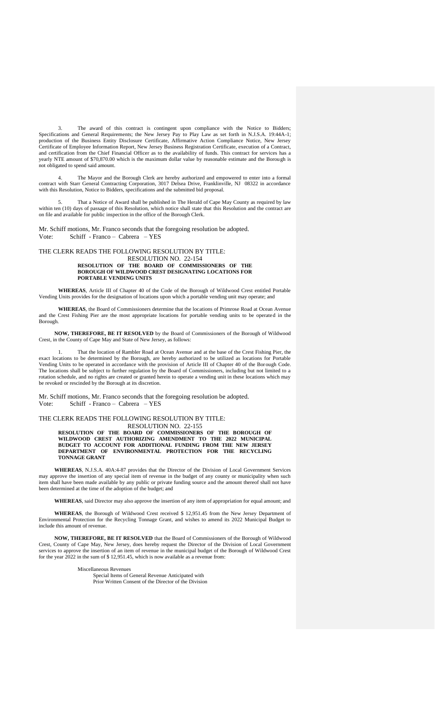3. The award of this contract is contingent upon compliance with the Notice to Bidders; Specifications and General Requirements; the New Jersey Pay to Play Law as set forth in N.J.S.A. 19:44A-1; production of the Business Entity Disclosure Certificate, Affirmative Action Compliance Notice, New Jersey Certificate of Employee Information Report, New Jersey Business Registration Certificate, execution of a Contract, and certification from the Chief Financial Officer as to the availability of funds. This contract for services has a yearly NTE amount of \$70,870.00 which is the maximum dollar value by reasonable estimate and the Borough is not obligated to spend said amount.

4. The Mayor and the Borough Clerk are hereby authorized and empowered to enter into a formal contract with Starr General Contracting Corporation, 3017 Delsea Drive, Franklinville, NJ 08322 in accordance with this Resolution, Notice to Bidders, specifications and the submitted bid proposal.

5. That a Notice of Award shall be published in The Herald of Cape May County as required by law within ten (10) days of passage of this Resolution, which notice shall state that this Resolution and the contract are on file and available for public inspection in the office of the Borough Clerk.

Mr. Schiff motions, Mr. Franco seconds that the foregoing resolution be adopted.<br>Vote: Schiff - Franco - Cabrera - YES Schiff - Franco – Cabrera – YES

THE CLERK READS THE FOLLOWING RESOLUTION BY TITLE:

#### RESOLUTION NO. 22-154 **RESOLUTION OF THE BOARD OF COMMISSIONERS OF THE BOROUGH OF WILDWOOD CREST DESIGNATING LOCATIONS FOR PORTABLE VENDING UNITS**

**WHEREAS**, Article III of Chapter 40 of the Code of the Borough of Wildwood Crest entitled Portable Vending Units provides for the designation of locations upon which a portable vending unit may operate; and

**WHEREAS**, the Board of Commissioners determine that the locations of Primrose Road at Ocean Avenue and the Crest Fishing Pier are the most appropriate locations for portable vending units to be operated in the Borough.

**NOW, THEREFORE, BE IT RESOLVED** by the Board of Commissioners of the Borough of Wildwood Crest, in the County of Cape May and State of New Jersey, as follows:

1. That the location of Rambler Road at Ocean Avenue and at the base of the Crest Fishing Pier, the exact locations to be determined by the Borough, are hereby authorized to be utilized as locations for Portable Vending Units to be operated in accordance with the provision of Article III of Chapter 40 of the Borough Code. The locations shall be subject to further regulation by the Board of Commissioners, including but not limited to a rotation schedule, and no rights are created or granted herein to operate a vending unit in these locations which may be revoked or rescinded by the Borough at its discretion.

Mr. Schiff motions, Mr. Franco seconds that the foregoing resolution be adopted. Vote: Schiff - Franco – Cabrera – YES

# THE CLERK READS THE FOLLOWING RESOLUTION BY TITLE:

RESOLUTION NO. 22-155 **RESOLUTION OF THE BOARD OF COMMISSIONERS OF THE BOROUGH OF WILDWOOD CREST AUTHORIZING AMENDMENT TO THE 2022 MUNICIPAL BUDGET TO ACCOUNT FOR ADDITIONAL FUNDING FROM THE NEW JERSEY DEPARTMENT OF ENVIRONMENTAL PROTECTION FOR THE RECYCLING TONNAGE GRANT**

**WHEREAS**, N.J.S.A. 40A:4-87 provides that the Director of the Division of Local Government Services may approve the insertion of any special item of revenue in the budget of any county or municipality when such item shall have been made available by any public or private funding source and the amount thereof shall not have been determined at the time of the adoption of the budget; and

**WHEREAS**, said Director may also approve the insertion of any item of appropriation for equal amount; and

**WHEREAS**, the Borough of Wildwood Crest received \$ 12,951.45 from the New Jersey Department of Environmental Protection for the Recycling Tonnage Grant, and wishes to amend its 2022 Municipal Budget to include this amount of revenue.

**NOW, THEREFORE, BE IT RESOLVED** that the Board of Commissioners of the Borough of Wildwood Crest, County of Cape May, New Jersey, does hereby request the Director of the Division of Local Government services to approve the insertion of an item of revenue in the municipal budget of the Borough of Wildwood Crest for the year 2022 in the sum of \$ 12,951.45, which is now available as a revenue from:

Miscellaneous Revenues

Special Items of General Revenue Anticipated with Prior Written Consent of the Director of the Division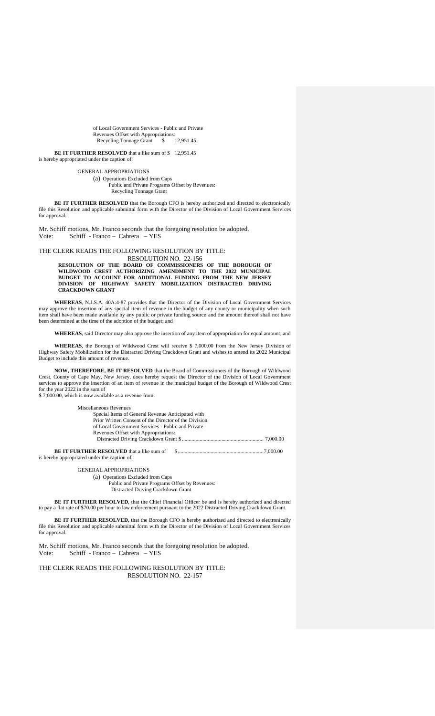of Local Government Services - Public and Private Revenues Offset with Appropriations:<br>Recycling Tonnage Grant \$ 12.951.45 Recycling Tonnage Grant \$

**BE IT FURTHER RESOLVED** that a like sum of \$ 12,951.45 is hereby appropriated under the caption of:

> GENERAL APPROPRIATIONS (a) Operations Excluded from Caps Public and Private Programs Offset by Revenues: Recycling Tonnage Grant

**BE IT FURTHER RESOLVED** that the Borough CFO is hereby authorized and directed to electronically file this Resolution and applicable submittal form with the Director of the Division of Local Government Services for approval.

Mr. Schiff motions, Mr. Franco seconds that the foregoing resolution be adopted.<br>Vote: Schiff - Franco - Cabrera - YES Schiff - Franco – Cabrera – YES

THE CLERK READS THE FOLLOWING RESOLUTION BY TITLE:

RESOLUTION NO. 22-156 **RESOLUTION OF THE BOARD OF COMMISSIONERS OF THE BOROUGH OF WILDWOOD CREST AUTHORIZING AMENDMENT TO THE 2022 MUNICIPAL BUDGET TO ACCOUNT FOR ADDITIONAL FUNDING FROM THE NEW JERSEY DIVISION OF HIGHWAY SAFETY MOBILIZATION DISTRACTED DRIVING CRACKDOWN GRANT**

**WHEREAS**, N.J.S.A. 40A:4-87 provides that the Director of the Division of Local Government Services may approve the insertion of any special item of revenue in the budget of any county or municipality when such item shall have been made available by any public or private funding source and the amount thereof shall not have been determined at the time of the adoption of the budget; and

**WHEREAS**, said Director may also approve the insertion of any item of appropriation for equal amount; and

**WHEREAS**, the Borough of Wildwood Crest will receive \$ 7,000.00 from the New Jersey Division of Highway Safety Mobilization for the Distracted Driving Crackdown Grant and wishes to amend its 2022 Municipal Budget to include this amount of revenue.

**NOW, THEREFORE, BE IT RESOLVED** that the Board of Commissioners of the Borough of Wildwood Crest, County of Cape May, New Jersey, does hereby request the Director of the Division of Local Government services to approve the insertion of an item of revenue in the municipal budget of the Borough of Wildwood Crest for the year 2022 in the sum of \$ 7,000.00, which is now available as a revenue from:

| Miscellaneous Revenues                                |  |
|-------------------------------------------------------|--|
| Special Items of General Revenue Anticipated with     |  |
| Prior Written Consent of the Director of the Division |  |
| of Local Government Services - Public and Private     |  |
| Revenues Offset with Appropriations:                  |  |
|                                                       |  |
| is hereby appropriated under the caption of:          |  |

GENERAL APPROPRIATIONS

(a) Operations Excluded from Caps Public and Private Programs Offset by Revenues: Distracted Driving Crackdown Grant

**BE IT FURTHER RESOLVED**, that the Chief Financial Officer be and is hereby authorized and directed to pay a flat rate of \$70.00 per hour to law enforcement pursuant to the 2022 Distracted Driving Crackdown Grant.

**BE IT FURTHER RESOLVED,** that the Borough CFO is hereby authorized and directed to electronically file this Resolution and applicable submittal form with the Director of the Division of Local Government Services for approval.

Mr. Schiff motions, Mr. Franco seconds that the foregoing resolution be adopted. Vote: Schiff - Franco – Cabrera – YES

THE CLERK READS THE FOLLOWING RESOLUTION BY TITLE: RESOLUTION NO. 22-157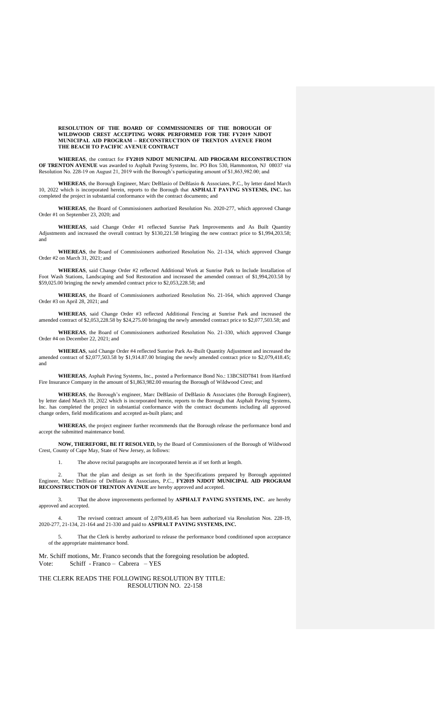**RESOLUTION OF THE BOARD OF COMMISSIONERS OF THE BOROUGH OF WILDWOOD CREST ACCEPTING WORK PERFORMED FOR THE FY2019 NJDOT MUNICIPAL AID PROGRAM – RECONSTRUCTION OF TRENTON AVENUE FROM THE BEACH TO PACIFIC AVENUE CONTRACT**

**WHEREAS**, the contract for **FY2019 NJDOT MUNICIPAL AID PROGRAM RECONSTRUCTION OF TRENTON AVENUE** was awarded to Asphalt Paving Systems, Inc. PO Box 530, Hammonton, NJ 08037 via Resolution No. 228-19 on August 21, 2019 with the Borough's participating amount of \$1,863,982.00; and

**WHEREAS**, the Borough Engineer, Marc DeBlasio of DeBlasio & Associates, P.C., by letter dated March 10, 2022 which is incorporated herein, reports to the Borough that **ASPHALT PAVING SYSTEMS, INC.** has completed the project in substantial conformance with the contract documents; and

**WHEREAS**, the Board of Commissioners authorized Resolution No. 2020-277, which approved Change Order #1 on September 23, 2020; and

**WHEREAS**, said Change Order #1 reflected Sunrise Park Improvements and As Built Quantity Adjustments and increased the overall contract by \$130,221.58 bringing the new contract price to \$1,994,203.58; and

**WHEREAS**, the Board of Commissioners authorized Resolution No. 21-134, which approved Change Order #2 on March 31, 2021; and

**WHEREAS**, said Change Order #2 reflected Additional Work at Sunrise Park to Include Installation of Foot Wash Stations, Landscaping and Sod Restoration and increased the amended contract of \$1,994,203.58 by \$59,025.00 bringing the newly amended contract price to \$2,053,228.58; and

**WHEREAS**, the Board of Commissioners authorized Resolution No. 21-164, which approved Change Order #3 on April 28, 2021; and

**WHEREAS**, said Change Order #3 reflected Additional Fencing at Sunrise Park and increased the amended contract of \$2,053,228.58 by \$24,275.00 bringing the newly amended contract price to \$2,077,503.58; and

**WHEREAS**, the Board of Commissioners authorized Resolution No. 21-330, which approved Change Order #4 on December 22, 2021; and

**WHEREAS**, said Change Order #4 reflected Sunrise Park As-Built Quantity Adjustment and increased the amended contract of \$2,077,503.58 by \$1,914.87.00 bringing the newly amended contract price to \$2,079,418.45; and

**WHEREAS**, Asphalt Paving Systems, Inc., posted a Performance Bond No.: 13BCSID7841 from Hartford Fire Insurance Company in the amount of \$1,863,982.00 ensuring the Borough of Wildwood Crest; and

**WHEREAS**, the Borough's engineer, Marc DeBlasio of DeBlasio & Associates (the Borough Engineer), by letter dated March 10, 2022 which is incorporated herein, reports to the Borough that Asphalt Paving Systems, Inc. has completed the project in substantial conformance with the contract documents including all approved change orders, field modifications and accepted as-built plans; and

**WHEREAS**, the project engineer further recommends that the Borough release the performance bond and accept the submitted maintenance bond.

**NOW, THEREFORE, BE IT RESOLVED,** by the Board of Commissioners of the Borough of Wildwood Crest, County of Cape May, State of New Jersey, as follows:

1. The above recital paragraphs are incorporated herein as if set forth at length.

2. That the plan and design as set forth in the Specifications prepared by Borough appointed Engineer, Marc DeBlasio of DeBlasio & Associates, P.C., **FY2019 NJDOT MUNICIPAL AID PROGRAM RECONSTRUCTION OF TRENTON AVENUE** are hereby approved and accepted.

3. That the above improvements performed by **ASPHALT PAVING SYSTEMS, INC.** are hereby approved and accepted.

The revised contract amount of 2,079,418.45 has been authorized via Resolution Nos. 228-19, 2020-277, 21-134, 21-164 and 21-330 and paid to **ASPHALT PAVING SYSTEMS, INC.** 

That the Clerk is hereby authorized to release the performance bond conditioned upon acceptance of the appropriate maintenance bond.

Mr. Schiff motions, Mr. Franco seconds that the foregoing resolution be adopted. Vote: Schiff - Franco – Cabrera – YES

## THE CLERK READS THE FOLLOWING RESOLUTION BY TITLE: RESOLUTION NO. 22-158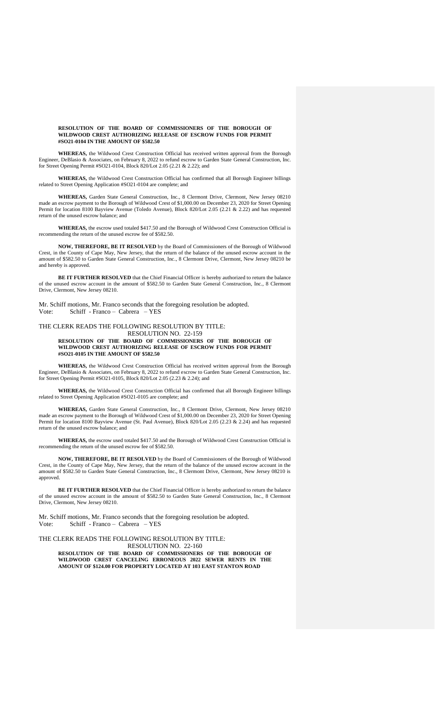#### **RESOLUTION OF THE BOARD OF COMMISSIONERS OF THE BOROUGH OF WILDWOOD CREST AUTHORIZING RELEASE OF ESCROW FUNDS FOR PERMIT #SO21-0104 IN THE AMOUNT OF \$582.50**

**WHEREAS,** the Wildwood Crest Construction Official has received written approval from the Borough Engineer, DeBlasio & Associates, on February 8, 2022 to refund escrow to Garden State General Construction, Inc. for Street Opening Permit #SO21-0104, Block 820/Lot 2.05 (2.21 & 2.22); and

**WHEREAS,** the Wildwood Crest Construction Official has confirmed that all Borough Engineer billings related to Street Opening Application #SO21-0104 are complete; and

**WHEREAS,** Garden State General Construction, Inc., 8 Clermont Drive, Clermont, New Jersey 08210 made an escrow payment to the Borough of Wildwood Crest of \$1,000.00 on December 23, 2020 for Street Opening Permit for location 8100 Bayview Avenue (Toledo Avenue), Block 820/Lot 2.05 (2.21 & 2.22) and has requested return of the unused escrow balance; and

**WHEREAS,** the escrow used totaled \$417.50 and the Borough of Wildwood Crest Construction Official is recommending the return of the unused escrow fee of \$582.50.

**NOW, THEREFORE, BE IT RESOLVED** by the Board of Commissioners of the Borough of Wildwood Crest, in the County of Cape May, New Jersey, that the return of the balance of the unused escrow account in the amount of \$582.50 to Garden State General Construction, Inc., 8 Clermont Drive, Clermont, New Jersey 08210 be and hereby is approved.

**BE IT FURTHER RESOLVED** that the Chief Financial Officer is hereby authorized to return the balance of the unused escrow account in the amount of \$582.50 to Garden State General Construction, Inc., 8 Clermont Drive, Clermont, New Jersey 08210.

Mr. Schiff motions, Mr. Franco seconds that the foregoing resolution be adopted. Vote: Schiff - Franco – Cabrera – YES

#### THE CLERK READS THE FOLLOWING RESOLUTION BY TITLE: RESOLUTION NO. 22-159 **RESOLUTION OF THE BOARD OF COMMISSIONERS OF THE BOROUGH OF WILDWOOD CREST AUTHORIZING RELEASE OF ESCROW FUNDS FOR PERMIT #SO21-0105 IN THE AMOUNT OF \$582.50**

**WHEREAS,** the Wildwood Crest Construction Official has received written approval from the Borough Engineer, DeBlasio & Associates, on February 8, 2022 to refund escrow to Garden State General Construction, Inc. for Street Opening Permit #SO21-0105, Block 820/Lot 2.05 (2.23 & 2.24); and

**WHEREAS,** the Wildwood Crest Construction Official has confirmed that all Borough Engineer billings related to Street Opening Application #SO21-0105 are complete; and

**WHEREAS,** Garden State General Construction, Inc., 8 Clermont Drive, Clermont, New Jersey 08210 made an escrow payment to the Borough of Wildwood Crest of \$1,000.00 on December 23, 2020 for Street Opening Permit for location 8100 Bayview Avenue (St. Paul Avenue), Block 820/Lot 2.05 (2.23 & 2.24) and has requested return of the unused escrow balance; and

**WHEREAS,** the escrow used totaled \$417.50 and the Borough of Wildwood Crest Construction Official is recommending the return of the unused escrow fee of \$582.50.

**NOW, THEREFORE, BE IT RESOLVED** by the Board of Commissioners of the Borough of Wildwood Crest, in the County of Cape May, New Jersey, that the return of the balance of the unused escrow account in the amount of \$582.50 to Garden State General Construction, Inc., 8 Clermont Drive, Clermont, New Jersey 08210 is approved.

**BE IT FURTHER RESOLVED** that the Chief Financial Officer is hereby authorized to return the balance of the unused escrow account in the amount of \$582.50 to Garden State General Construction, Inc., 8 Clermont Drive, Clermont, New Jersey 08210.

Mr. Schiff motions, Mr. Franco seconds that the foregoing resolution be adopted. Vote: Schiff - Franco – Cabrera – YES

THE CLERK READS THE FOLLOWING RESOLUTION BY TITLE: RESOLUTION NO. 22-160

**RESOLUTION OF THE BOARD OF COMMISSIONERS OF THE BOROUGH OF WILDWOOD CREST CANCELING ERRONEOUS 2022 SEWER RENTS IN THE AMOUNT OF \$124.00 FOR PROPERTY LOCATED AT 103 EAST STANTON ROAD**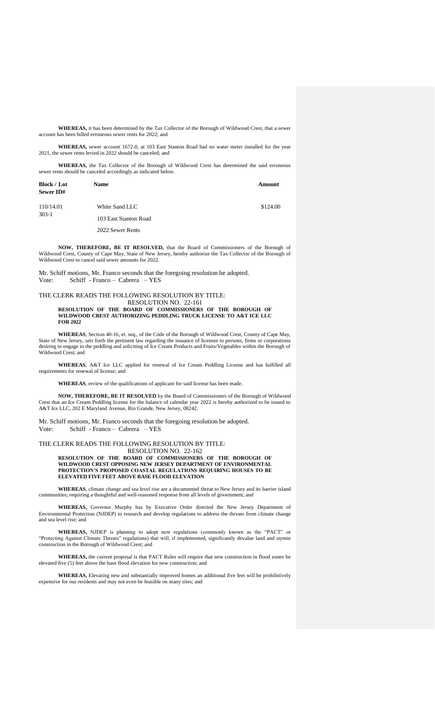**WHEREAS,** it has been determined by the Tax Collector of the Borough of Wildwood Crest, that a sewer account has been billed erroneous sewer rents for 2022; and

**WHEREAS,** sewer account 1672-0, at 103 East Stanton Road had no water meter installed for the year 2021, the sewer rents levied in 2022 should be canceled; and

**WHEREAS,** the Tax Collector of the Borough of Wildwood Crest has determined the said erroneous sewer rents should be canceled accordingly as indicated below.

| <b>Block / Lot</b><br>Sewer ID# | <b>Name</b>           | Amount   |
|---------------------------------|-----------------------|----------|
| 110/14.01<br>$303-1$            | White Sand LLC        | \$124.00 |
|                                 | 103 East Stanton Road |          |
|                                 | 2022 Sewer Rents      |          |

**NOW, THEREFORE, BE IT RESOLVED,** that the Board of Commissioners of the Borough of Wildwood Crest, County of Cape May, State of New Jersey, hereby authorize the Tax Collector of the Borough of Wildwood Crest to cancel said sewer amounts for 2022.

Mr. Schiff motions, Mr. Franco seconds that the foregoing resolution be adopted. Vote: Schiff - Franco – Cabrera – YES

**FOR 2022**

#### THE CLERK READS THE FOLLOWING RESOLUTION BY TITLE: RESOLUTION NO. 22-161 **RESOLUTION OF THE BOARD OF COMMISSIONERS OF THE BOROUGH OF WILDWOOD CREST AUTHORIZING PEDDLING TRUCK LICENSE TO A&T ICE LLC**

**WHEREAS**, Section 40-16, et. seq., of the Code of the Borough of Wildwood Crest, County of Cape May, State of New Jersey, sets forth the pertinent law regarding the issuance of licenses to persons, firms or corporations desiring to engage in the peddling and soliciting of Ice Cream Products and Fruits/Vegetables within the Borough of Wildwood Crest; and

**WHEREAS**, A&T Ice LLC applied for renewal of Ice Cream Peddling License and has fulfilled all requirements for renewal of license; and

**WHEREAS**, review of the qualifications of applicant for said license has been made.

**NOW, THEREFORE, BE IT RESOLVED** by the Board of Commissioners of the Borough of Wildwood Crest that an Ice Cream Peddling license for the balance of calendar year 2022 is hereby authorized to be issued to A&T Ice LLC, 202 E Maryland Avenue, Rio Grande, New Jersey, 08242.

Mr. Schiff motions, Mr. Franco seconds that the foregoing resolution be adopted. Vote: Schiff - Franco – Cabrera – YES

THE CLERK READS THE FOLLOWING RESOLUTION BY TITLE: RESOLUTION NO. 22-162

**RESOLUTION OF THE BOARD OF COMMISSIONERS OF THE BOROUGH OF WILDWOOD CREST OPPOSING NEW JERSEY DEPARTMENT OF ENVIRONMENTAL PROTECTION'S PROPOSED COASTAL REGULATIONS REQUIRING HOUSES TO BE ELEVATED FIVE FEET ABOVE BASE FLOOD ELEVATION**

**WHEREAS**, climate change and sea level rise are a documented threat to New Jersey and its barrier island communities; requiring a thoughtful and well-reasoned response from all levels of government; and

**WHEREAS,** Governor Murphy has by Executive Order directed the New Jersey Department of Environmental Protection (NJDEP) to research and develop regulations to address the threats from climate change and sea level rise; and

**WHEREAS,** NJDEP is planning to adopt new regulations (commonly known as the "PACT" or "Protecting Against Climate Threats" regulations) that will, if implemented, significantly devalue land and stymie construction in the Borough of Wildwood Crest; and

**WHEREAS,** the current proposal is that PACT Rules will require that new construction in flood zones be elevated five (5) feet above the base flood elevation for new construction; and

**WHEREAS,** Elevating new and substantially improved homes an additional five feet will be prohibitively expensive for our residents and may not even be feasible on many sites; and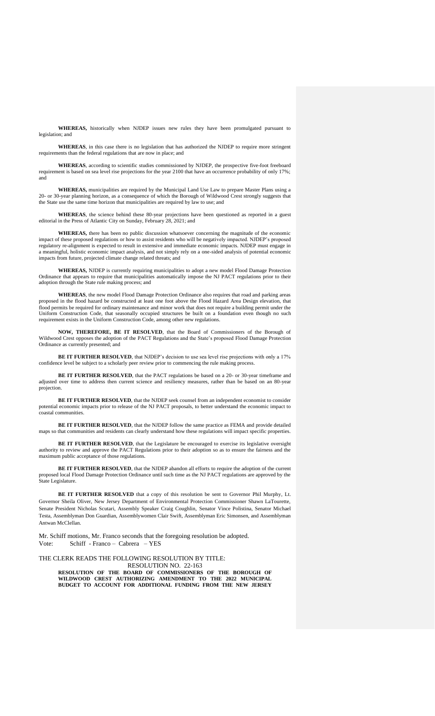**WHEREAS,** historically when NJDEP issues new rules they have been promulgated pursuant to legislation; and

**WHEREAS**, in this case there is no legislation that has authorized the NJDEP to require more stringent requirements than the federal regulations that are now in place; and

**WHEREAS**, according to scientific studies commissioned by NJDEP, the prospective five-foot freeboard requirement is based on sea level rise projections for the year 2100 that have an occurrence probability of only 17%; and

**WHEREAS,** municipalities are required by the Municipal Land Use Law to prepare Master Plans using a 20- or 30-year planning horizon, as a consequence of which the Borough of Wildwood Crest strongly suggests that the State use the same time horizon that municipalities are required by law to use; and

**WHEREAS**, the science behind these 80-year projections have been questioned as reported in a guest editorial in the Press of Atlantic City on Sunday, February 28, 2021; and

**WHEREAS,** there has been no public discussion whatsoever concerning the magnitude of the economic impact of these proposed regulations or how to assist residents who will be negatively impacted. NJDEP's proposed regulatory re-alignment is expected to result in extensive and immediate economic impacts. NJDEP must engage in a meaningful, holistic economic impact analysis, and not simply rely on a one-sided analysis of potential economic impacts from future, projected climate change related threats; and

**WHEREAS,** NJDEP is currently requiring municipalities to adopt a new model Flood Damage Protection Ordinance that appears to require that municipalities automatically impose the NJ PACT regulations prior to their adoption through the State rule making process; and

**WHEREAS**, the new model Flood Damage Protection Ordinance also requires that road and parking areas proposed in the flood hazard be constructed at least one foot above the Flood Hazard Area Design elevation, that flood permits be required for ordinary maintenance and minor work that does not require a building permit under the Uniform Construction Code, that seasonally occupied structures be built on a foundation even though no such requirement exists in the Uniform Construction Code, among other new regulations.

**NOW, THEREFORE, BE IT RESOLVED**, that the Board of Commissioners of the Borough of Wildwood Crest opposes the adoption of the PACT Regulations and the State's proposed Flood Damage Protection Ordinance as currently presented; and

**BE IT FURTHER RESOLVED**, that NJDEP's decision to use sea level rise projections with only a 17% confidence level be subject to a scholarly peer review prior to commencing the rule making process.

**BE IT FURTHER RESOLVED**, that the PACT regulations be based on a 20- or 30-year timeframe and adjusted over time to address then current science and resiliency measures, rather than be based on an 80-year projection.

**BE IT FURTHER RESOLVED**, that the NJDEP seek counsel from an independent economist to consider potential economic impacts prior to release of the NJ PACT proposals, to better understand the economic impact to coastal communities.

**BE IT FURTHER RESOLVED**, that the NJDEP follow the same practice as FEMA and provide detailed maps so that communities and residents can clearly understand how these regulations will impact specific properties.

BE IT FURTHER RESOLVED, that the Legislature be encouraged to exercise its legislative oversight authority to review and approve the PACT Regulations prior to their adoption so as to ensure the fairness and the maximum public acceptance of those regulations.

**BE IT FURTHER RESOLVED**, that the NJDEP abandon all efforts to require the adoption of the current proposed local Flood Damage Protection Ordinance until such time as the NJ PACT regulations are approved by the State Legislature.

**BE IT FURTHER RESOLVED** that a copy of this resolution be sent to Governor Phil Murphy, Lt. Governor Sheila Oliver, New Jersey Department of Environmental Protection Commissioner Shawn LaTourette, Senate President Nicholas Scutari, Assembly Speaker Craig Coughlin, Senator Vince Polistina, Senator Michael Testa, Assemblyman Don Guardian, Assemblywomen Clair Swift, Assemblyman Eric Simonsen, and Assemblyman Antwan McClellan.

Mr. Schiff motions, Mr. Franco seconds that the foregoing resolution be adopted. Vote: Schiff - Franco – Cabrera – YES

THE CLERK READS THE FOLLOWING RESOLUTION BY TITLE:

RESOLUTION NO. 22-163 **RESOLUTION OF THE BOARD OF COMMISSIONERS OF THE BOROUGH OF WILDWOOD CREST AUTHORIZING AMENDMENT TO THE 2022 MUNICIPAL BUDGET TO ACCOUNT FOR ADDITIONAL FUNDING FROM THE NEW JERSEY**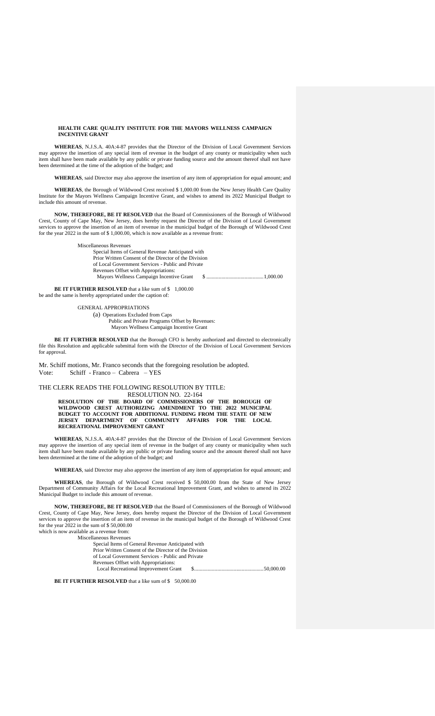#### **HEALTH CARE QUALITY INSTITUTE FOR THE MAYORS WELLNESS CAMPAIGN INCENTIVE GRANT**

**WHEREAS**, N.J.S.A. 40A:4-87 provides that the Director of the Division of Local Government Services may approve the insertion of any special item of revenue in the budget of any county or municipality when such item shall have been made available by any public or private funding source and the amount thereof shall not have been determined at the time of the adoption of the budget; and

**WHEREAS**, said Director may also approve the insertion of any item of appropriation for equal amount; and

**WHEREAS**, the Borough of Wildwood Crest received \$ 1,000.00 from the New Jersey Health Care Quality Institute for the Mayors Wellness Campaign Incentive Grant, and wishes to amend its 2022 Municipal Budget to include this amount of revenue.

**NOW, THEREFORE, BE IT RESOLVED** that the Board of Commissioners of the Borough of Wildwood Crest, County of Cape May, New Jersey, does hereby request the Director of the Division of Local Government services to approve the insertion of an item of revenue in the municipal budget of the Borough of Wildwood Crest for the year  $2022$  in the sum of \$ 1,000.00, which is now available as a revenue from:

Miscellaneous Revenues

Special Items of General Revenue Anticipated with Prior Written Consent of the Director of the Division of Local Government Services - Public and Private Revenues Offset with Appropriations: Mayors Wellness Campaign Incentive Grant \$ ..........................................1,000.00

**BE IT FURTHER RESOLVED** that a like sum of \$ 1,000.00 be and the same is hereby appropriated under the caption of:

> GENERAL APPROPRIATIONS (a) Operations Excluded from Caps Public and Private Programs Offset by Revenues: Mayors Wellness Campaign Incentive Grant

**BE IT FURTHER RESOLVED** that the Borough CFO is hereby authorized and directed to electronically file this Resolution and applicable submittal form with the Director of the Division of Local Government Services for approval.

Mr. Schiff motions, Mr. Franco seconds that the foregoing resolution be adopted. Vote: Schiff - Franco – Cabrera – YES

#### THE CLERK READS THE FOLLOWING RESOLUTION BY TITLE: RESOLUTION NO. 22-164

**RESOLUTION OF THE BOARD OF COMMISSIONERS OF THE BOROUGH OF WILDWOOD CREST AUTHORIZING AMENDMENT TO THE 2022 MUNICIPAL BUDGET TO ACCOUNT FOR ADDITIONAL FUNDING FROM THE STATE OF NEW JERSEY DEPARTMENT OF COMMUNITY AFFAIRS FOR THE LOCAL RECREATIONAL IMPROVEMENT GRANT**

**WHEREAS**, N.J.S.A. 40A:4-87 provides that the Director of the Division of Local Government Services may approve the insertion of any special item of revenue in the budget of any county or municipality when such item shall have been made available by any public or private funding source and the amount thereof shall not have been determined at the time of the adoption of the budget; and

**WHEREAS**, said Director may also approve the insertion of any item of appropriation for equal amount; and

**WHEREAS**, the Borough of Wildwood Crest received \$ 50,000.00 from the State of New Jersey Department of Community Affairs for the Local Recreational Improvement Grant, and wishes to amend its 2022 Municipal Budget to include this amount of revenue.

**NOW, THEREFORE, BE IT RESOLVED** that the Board of Commissioners of the Borough of Wildwood Crest, County of Cape May, New Jersey, does hereby request the Director of the Division of Local Government services to approve the insertion of an item of revenue in the municipal budget of the Borough of Wildwood Crest for the year 2022 in the sum of \$50,000.00 which is now available as a revenue from: Miscellaneous Revenues

Special Items of General Revenue Anticipated with Prior Written Consent of the Director of the Division of Local Government Services - Public and Private Revenues Offset with Appropriations: Local Recreational Improvement Grant \$...................................................50,000.00

**BE IT FURTHER RESOLVED** that a like sum of \$ 50,000.00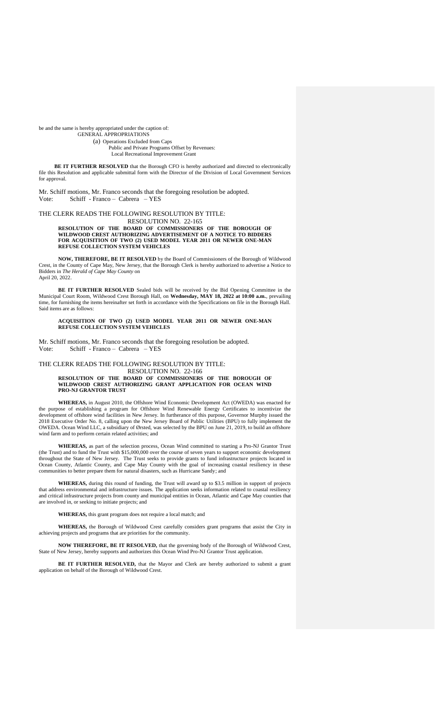be and the same is hereby appropriated under the caption of:

GENERAL APPROPRIATIONS (a) Operations Excluded from Caps Public and Private Programs Offset by Revenues: Local Recreational Improvement Grant

**BE IT FURTHER RESOLVED** that the Borough CFO is hereby authorized and directed to electronically file this Resolution and applicable submittal form with the Director of the Division of Local Government Services for approval.

Mr. Schiff motions, Mr. Franco seconds that the foregoing resolution be adopted. Vote: Schiff - Franco – Cabrera – YES

THE CLERK READS THE FOLLOWING RESOLUTION BY TITLE:

RESOLUTION NO. 22-165 **RESOLUTION OF THE BOARD OF COMMISSIONERS OF THE BOROUGH OF WILDWOOD CREST AUTHORIZING ADVERTISEMENT OF A NOTICE TO BIDDERS FOR ACQUISITION OF TWO (2) USED MODEL YEAR 2011 OR NEWER ONE-MAN REFUSE COLLECTION SYSTEM VEHICLES**

**NOW, THEREFORE, BE IT RESOLVED** by the Board of Commissioners of the Borough of Wildwood Crest, in the County of Cape May, New Jersey, that the Borough Clerk is hereby authorized to advertise a Notice to Bidders in *The Herald of Cape May County* on April 20, 2022.

BE IT FURTHER RESOLVED Sealed bids will be received by the Bid Opening Committee in the Municipal Court Room, Wildwood Crest Borough Hall, on **Wednesday, MAY 18, 2022 at 10:00 a.m.**, prevailing time, for furnishing the items hereinafter set forth in accordance with the Specifications on file in the Borough Hall. Said items are as follows:

#### **ACQUISITION OF TWO (2) USED MODEL YEAR 2011 OR NEWER ONE-MAN REFUSE COLLECTION SYSTEM VEHICLES**

Mr. Schiff motions, Mr. Franco seconds that the foregoing resolution be adopted. Vote: Schiff - Franco – Cabrera – YES

#### THE CLERK READS THE FOLLOWING RESOLUTION BY TITLE: RESOLUTION NO. 22-166 **RESOLUTION OF THE BOARD OF COMMISSIONERS OF THE BOROUGH OF WILDWOOD CREST AUTHORIZING GRANT APPLICATION FOR OCEAN WIND PRO-NJ GRANTOR TRUST**

**WHEREAS,** in August 2010, the Offshore Wind Economic Development Act (OWEDA) was enacted for the purpose of establishing a program for Offshore Wind Renewable Energy Certificates to incentivize the development of offshore wind facilities in New Jersey. In furtherance of this purpose, Governor Murphy issued the 2018 Executive Order No. 8, calling upon the New Jersey Board of Public Utilities (BPU) to fully implement the OWEDA. Ocean Wind LLC, a subsidiary of Ørsted, was selected by the BPU on June 21, 2019, to build an offshore wind farm and to perform certain related activities; and

**WHEREAS,** as part of the selection process, Ocean Wind committed to starting a Pro-NJ Grantor Trust (the Trust) and to fund the Trust with \$15,000,000 over the course of seven years to support economic development throughout the State of New Jersey. The Trust seeks to provide grants to fund infrastructure projects located in Ocean County, Atlantic County, and Cape May County with the goal of increasing coastal resiliency in these communities to better prepare them for natural disasters, such as Hurricane Sandy; and

**WHEREAS,** during this round of funding, the Trust will award up to \$3.5 million in support of projects that address environmental and infrastructure issues. The application seeks information related to coastal resiliency and critical infrastructure projects from county and municipal entities in Ocean, Atlantic and Cape May counties that are involved in, or seeking to initiate projects; and

**WHEREAS,** this grant program does not require a local match; and

**WHEREAS,** the Borough of Wildwood Crest carefully considers grant programs that assist the City in achieving projects and programs that are priorities for the community.

**NOW THEREFORE, BE IT RESOLVED,** that the governing body of the Borough of Wildwood Crest, State of New Jersey, hereby supports and authorizes this Ocean Wind Pro-NJ Grantor Trust application.

**BE IT FURTHER RESOLVED,** that the Mayor and Clerk are hereby authorized to submit a grant application on behalf of the Borough of Wildwood Crest.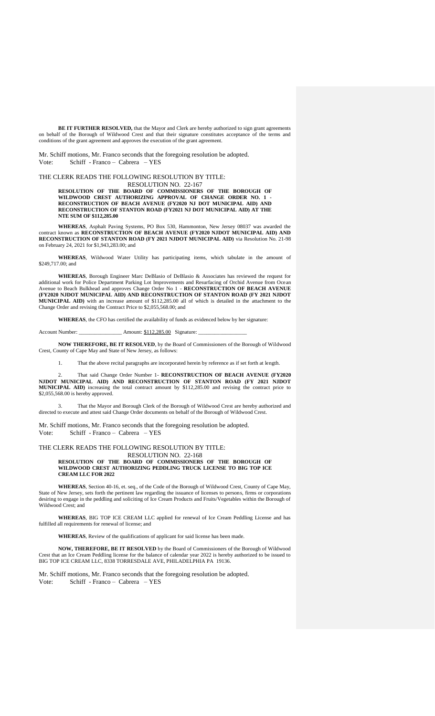**BE IT FURTHER RESOLVED,** that the Mayor and Clerk are hereby authorized to sign grant agreements on behalf of the Borough of Wildwood Crest and that their signature constitutes acceptance of the terms and conditions of the grant agreement and approves the execution of the grant agreement.

Mr. Schiff motions, Mr. Franco seconds that the foregoing resolution be adopted. Vote: Schiff - Franco – Cabrera – YES

THE CLERK READS THE FOLLOWING RESOLUTION BY TITLE: RESOLUTION NO. 22-167

**RESOLUTION OF THE BOARD OF COMMISSIONERS OF THE BOROUGH OF WILDWOOD CREST AUTHORIZING APPROVAL OF CHANGE ORDER NO. 1 - RECONSTRUCTION OF BEACH AVENUE (FY2020 NJ DOT MUNICIPAL AID) AND RECONSTRUCTION OF STANTON ROAD (FY2021 NJ DOT MUNICIPAL AID) AT THE NTE SUM OF \$112,285.00**

**WHEREAS**, Asphalt Paving Systems, PO Box 530, Hammonton, New Jersey 08037 was awarded the contract known as **RECONSTRUCTION OF BEACH AVENUE (FY2020 NJDOT MUNICIPAL AID) AND RECONSTRUCTION OF STANTON ROAD (FY 2021 NJDOT MUNICIPAL AID)** via Resolution No. 21-98 on February 24, 2021 for \$1,943,283.00; and

**WHEREAS**, Wildwood Water Utility has participating items, which tabulate in the amount of \$249,717.00; and

**WHEREAS**, Borough Engineer Marc DeBlasio of DeBlasio & Associates has reviewed the request for additional work for Police Department Parking Lot Improvements and Resurfacing of Orchid Avenue from Ocean Avenue to Beach Bulkhead and approves Change Order No 1 - **RECONSTRUCTION OF BEACH AVENUE (FY2020 NJDOT MUNICIPAL AID) AND RECONSTRUCTION OF STANTON ROAD (FY 2021 NJDOT MUNICIPAL AID)** with an increase amount of \$112,285.00 all of which is detailed in the attachment to the Change Order and revising the Contract Price to \$2,055,568.00; and

**WHEREAS**, the CFO has certified the availability of funds as evidenced below by her signature:

Account Number: \_\_\_\_\_\_\_\_\_\_\_\_\_\_\_\_\_\_\_\_\_\_\_\_ Amount: \$112,285.00 Signature:

**NOW THEREFORE, BE IT RESOLVED**, by the Board of Commissioners of the Borough of Wildwood Crest, County of Cape May and State of New Jersey, as follows:

1. That the above recital paragraphs are incorporated herein by reference as if set forth at length.

2. That said Change Order Number 1- **RECONSTRUCTION OF BEACH AVENUE (FY2020 NJDOT MUNICIPAL AID) AND RECONSTRUCTION OF STANTON ROAD (FY 2021 NJDOT MUNICIPAL AID)** increasing the total contract amount by \$112,285.00 and revising the contract price to \$2,055,568.00 is hereby approved.

3. That the Mayor and Borough Clerk of the Borough of Wildwood Crest are hereby authorized and directed to execute and attest said Change Order documents on behalf of the Borough of Wildwood Crest.

Mr. Schiff motions, Mr. Franco seconds that the foregoing resolution be adopted. Vote: Schiff - Franco – Cabrera – YES

## THE CLERK READS THE FOLLOWING RESOLUTION BY TITLE: RESOLUTION NO. 22-168

**RESOLUTION OF THE BOARD OF COMMISSIONERS OF THE BOROUGH OF WILDWOOD CREST AUTHORIZING PEDDLING TRUCK LICENSE TO BIG TOP ICE CREAM LLC FOR 2022**

**WHEREAS**, Section 40-16, et. seq., of the Code of the Borough of Wildwood Crest, County of Cape May, State of New Jersey, sets forth the pertinent law regarding the issuance of licenses to persons, firms or corporations desiring to engage in the peddling and soliciting of Ice Cream Products and Fruits/Vegetables within the Borough of Wildwood Crest; and

**WHEREAS**, BIG TOP ICE CREAM LLC applied for renewal of Ice Cream Peddling License and has fulfilled all requirements for renewal of license; and

**WHEREAS**, Review of the qualifications of applicant for said license has been made.

**NOW, THEREFORE, BE IT RESOLVED** by the Board of Commissioners of the Borough of Wildwood Crest that an Ice Cream Peddling license for the balance of calendar year 2022 is hereby authorized to be issued to BIG TOP ICE CREAM LLC, 8338 TORRESDALE AVE, PHILADELPHIA PA 19136.

Mr. Schiff motions, Mr. Franco seconds that the foregoing resolution be adopted. Vote: Schiff - Franco – Cabrera – YES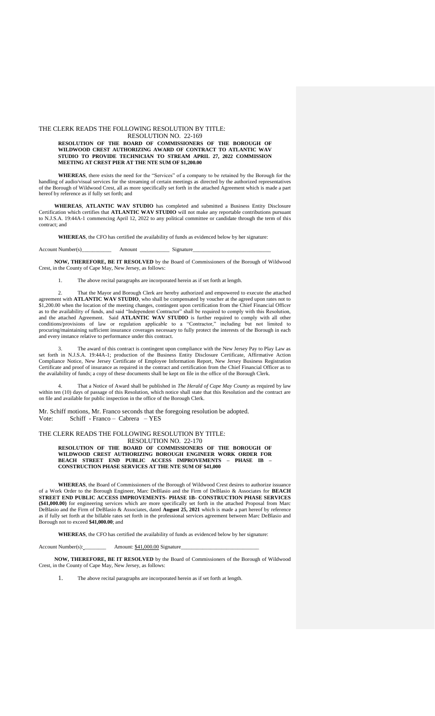## THE CLERK READS THE FOLLOWING RESOLUTION BY TITLE:

# RESOLUTION NO. 22-169

#### **RESOLUTION OF THE BOARD OF COMMISSIONERS OF THE BOROUGH OF WILDWOOD CREST AUTHORIZING AWARD OF CONTRACT TO ATLANTIC WAV STUDIO TO PROVIDE TECHNICIAN TO STREAM APRIL 27, 2022 COMMISSION MEETING AT CREST PIER AT THE NTE SUM OF \$1,200.00**

**WHEREAS**, there exists the need for the "Services" of a company to be retained by the Borough for the handling of audio/visual services for the streaming of certain meetings as directed by the authorized representatives of the Borough of Wildwood Crest, all as more specifically set forth in the attached Agreement which is made a part hereof by reference as if fully set forth; and

**WHEREAS**, **ATLANTIC WAV STUDIO** has completed and submitted a Business Entity Disclosure Certification which certifies that **ATLANTIC WAV STUDIO** will not make any reportable contributions pursuant to N.J.S.A. 19:44A-1 commencing April 12, 2022 to any political committee or candidate through the term of this contract; and

**WHEREAS**, the CFO has certified the availability of funds as evidenced below by her signature:

Account Number(s)\_\_\_\_\_\_\_\_\_\_\_ Amount \_\_\_\_\_\_\_\_\_\_\_ Signature\_\_\_\_\_\_\_\_\_\_\_\_\_\_\_\_\_\_\_\_\_\_\_\_\_\_\_\_\_

**NOW, THEREFORE, BE IT RESOLVED** by the Board of Commissioners of the Borough of Wildwood Crest, in the County of Cape May, New Jersey, as follows:

The above recital paragraphs are incorporated herein as if set forth at length.

2. That the Mayor and Borough Clerk are hereby authorized and empowered to execute the attached agreement with **ATLANTIC WAV STUDIO**, who shall be compensated by voucher at the agreed upon rates not to  $$1,200.00$  when the location of the meeting changes, contingent upon certification from the Chief Financial Officer as to the availability of funds, and said "Independent Contractor" shall be required to comply with this Resolution, and the attached Agreement. Said **ATLANTIC WAV STUDIO** is further required to comply with all other conditions/provisions of law or regulation applicable to a "Contractor," including but not limited to procuring/maintaining sufficient insurance coverages necessary to fully protect the interests of the Borough in each and every instance relative to performance under this contract.

3. The award of this contract is contingent upon compliance with the New Jersey Pay to Play Law as set forth in N.J.S.A. 19:44A-1; production of the Business Entity Disclosure Certificate, Affirmative Action Compliance Notice, New Jersey Certificate of Employee Information Report, New Jersey Business Registration Certificate and proof of insurance as required in the contract and certification from the Chief Financial Officer as to the availability of funds; a copy of these documents shall be kept on file in the office of the Borough Clerk.

4. That a Notice of Award shall be published in *The Herald of Cape May County* as required by law within ten (10) days of passage of this Resolution, which notice shall state that this Resolution and the contract are on file and available for public inspection in the office of the Borough Clerk.

Mr. Schiff motions, Mr. Franco seconds that the foregoing resolution be adopted. Vote: Schiff - Franco – Cabrera – YES

THE CLERK READS THE FOLLOWING RESOLUTION BY TITLE:

RESOLUTION NO. 22-170 **RESOLUTION OF THE BOARD OF COMMISSIONERS OF THE BOROUGH OF WILDWOOD CREST AUTHORIZING BOROUGH ENGINEER WORK ORDER FOR BEACH STREET END PUBLIC ACCESS IMPROVEMENTS – PHASE IB – CONSTRUCTION PHASE SERVICES AT THE NTE SUM OF \$41,000**

**WHEREAS**, the Board of Commissioners of the Borough of Wildwood Crest desires to authorize issuance of a Work Order to the Borough Engineer, Marc DeBlasio and the Firm of DeBlasio & Associates for **BEACH STREET END PUBLIC ACCESS IMPROVEMENTS- PHASE 1B- CONSTRUCTION PHASE SERVICES (\$41,000.00)** for engineering services which are more specifically set forth in the attached Proposal from Marc DeBlasio and the Firm of DeBlasio & Associates, dated **August 25, 2021** which is made a part hereof by reference as if fully set forth at the billable rates set forth in the professional services agreement between Marc DeBlasio and Borough not to exceed **\$41,000.00**; and

**WHEREAS**, the CFO has certified the availability of funds as evidenced below by her signature:

Account Number(s): \_\_\_\_\_\_\_\_ Amount: \$41,000.00 Signature\_\_\_\_\_\_\_\_\_\_\_\_\_\_\_\_\_\_\_\_\_\_\_\_\_\_\_\_\_

**NOW, THEREFORE, BE IT RESOLVED** by the Board of Commissioners of the Borough of Wildwood Crest, in the County of Cape May, New Jersey, as follows:

1. The above recital paragraphs are incorporated herein as if set forth at length.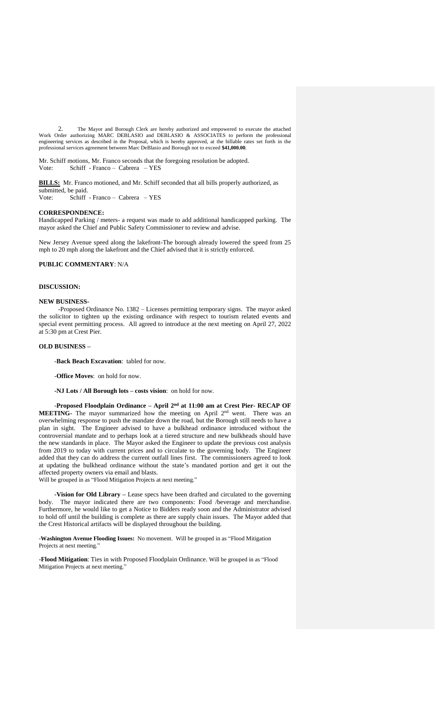2. The Mayor and Borough Clerk are hereby authorized and empowered to execute the attached Work Order authorizing MARC DEBLASIO and DEBLASIO & ASSOCIATES to perform the professional engineering services as described in the Proposal, which is hereby approved, at the billable rates set forth in the professional services agreement between Marc DeBlasio and Borough not to exceed **\$41,000.00**.

Mr. Schiff motions, Mr. Franco seconds that the foregoing resolution be adopted. Vote: Schiff - Franco – Cabrera – YES

**BILLS:** Mr. Franco motioned, and Mr. Schiff seconded that all bills properly authorized, as submitted, be paid.

Vote: Schiff - Franco – Cabrera – YES

## **CORRESPONDENCE:**

Handicapped Parking / meters- a request was made to add additional handicapped parking. The mayor asked the Chief and Public Safety Commissioner to review and advise.

New Jersey Avenue speed along the lakefront-The borough already lowered the speed from 25 mph to 20 mph along the lakefront and the Chief advised that it is strictly enforced.

## **PUBLIC COMMENTARY**: N/A

## **DISCUSSION:**

#### **NEW BUSINESS-**

-Proposed Ordinance No. 1382 – Licenses permitting temporary signs. The mayor asked the solicitor to tighten up the existing ordinance with respect to tourism related events and special event permitting process. All agreed to introduce at the next meeting on April 27, 2022 at 5:30 pm at Crest Pier.

## **OLD BUSINESS –**

-**Back Beach Excavation**: tabled for now.

-**Office Moves**: on hold for now.

**-NJ Lots / All Borough lots – costs vision**: on hold for now.

-**Proposed Floodplain Ordinance – April 2 nd at 11:00 am at Crest Pier- RECAP OF MEETING-** The mayor summarized how the meeting on April 2<sup>nd</sup> went. There was an overwhelming response to push the mandate down the road, but the Borough still needs to have a plan in sight. The Engineer advised to have a bulkhead ordinance introduced without the controversial mandate and to perhaps look at a tiered structure and new bulkheads should have the new standards in place. The Mayor asked the Engineer to update the previous cost analysis from 2019 to today with current prices and to circulate to the governing body. The Engineer added that they can do address the current outfall lines first. The commissioners agreed to look at updating the bulkhead ordinance without the state's mandated portion and get it out the affected property owners via email and blasts.

Will be grouped in as "Flood Mitigation Projects at next meeting."

**-Vision for Old Library –** Lease specs have been drafted and circulated to the governing body. The mayor indicated there are two components: Food /beverage and merchandise. Furthermore, he would like to get a Notice to Bidders ready soon and the Administrator advised to hold off until the building is complete as there are supply chain issues. The Mayor added that the Crest Historical artifacts will be displayed throughout the building.

-**Washington Avenue Flooding Issues:** No movement. Will be grouped in as "Flood Mitigation Projects at next meeting."

-**Flood Mitigation**: Ties in with Proposed Floodplain Ordinance. Will be grouped in as "Flood Mitigation Projects at next meeting."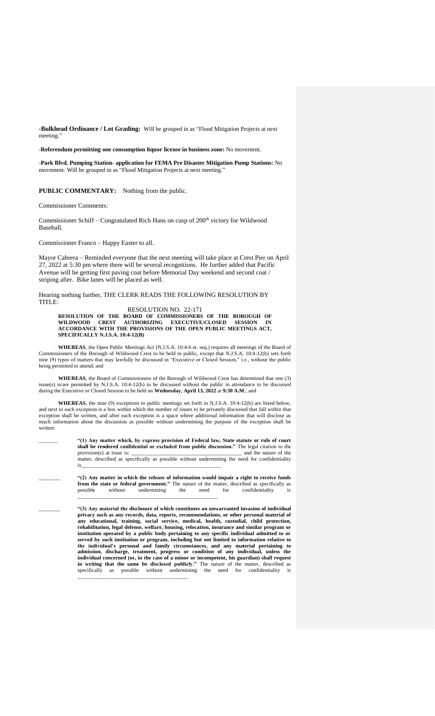**-Bulkhead Ordinance / Lot Grading:** Will be grouped in as "Flood Mitigation Projects at next meeting."

-**Referendum permitting one consumption liquor license in business zone:** No movement.

-**Park Blvd. Pumping Station- application for FEMA Pre Disaster Mitigation Pump Stations:** No movement. Will be grouped in as "Flood Mitigation Projects at next meeting."

**PUBLIC COMMENTARY:** Nothing from the public.

Commissioner Comments:

Commissioner Schiff – Congratulated Rich Hans on cusp of  $200<sup>th</sup>$  victory for Wildwood Baseball.

Commissioner Franco – Happy Easter to all.

Mayor Cabrera – Reminded everyone that the next meeting will take place at Crest Pier on April 27, 2022 at 5:30 pm where there will be several recognitions. He further added that Pacific Avenue will be getting first paving coat before Memorial Day weekend and second coat / striping after. Bike lanes will be placed as well.

Hearing nothing further, THE CLERK READS THE FOLLOWING RESOLUTION BY TITLE:

RESOLUTION NO. 22-171 **RESOLUTION OF THE BOARD OF COMMISSIONERS OF THE BOROUGH OF WILDWOOD CREST AUTHORIZING EXECUTIVE/CLOSED SESSION IN ACCORDANCE WITH THE PROVISIONS OF THE OPEN PUBLIC MEETINGS ACT, SPECIFICALLY N.J.S.A. 10:4-12(B)**

**WHEREAS**, the Open Public Meetings Act (N.J.S.A. 10:4-6 et. seq.) requires all meetings of the Board of Commissioners of the Borough of Wildwood Crest to be held in public, except that N.J.S.A. 10:4-12(b) sets forth nine (9) types of matters that may lawfully be discussed in "Executive or Closed Session," i.e., without the public being permitted to attend; and

**WHEREAS**, the Board of Commissioners of the Borough of Wildwood Crest has determined that one (3) issue(s) is/are permitted by N.J.S.A. 10:4-12(b) to be discussed without the public in attendance to be discussed during the Executive or Closed Session to be held on **Wednesday, April 13, 2022** at **9:30 A.M**.; and

**WHEREAS**, the nine (9) exceptions to public meetings set forth in N.J.S.A. 10:4-12(b) are listed below, and next to each exception is a box within which the number of issues to be privately discussed that fall within that exception shall be written, and after each exception is a space where additional information that will disclose as much information about the discussion as possible without undermining the purpose of the exception shall be written:

> \_\_\_\_\_\_\_ **"(1) Any matter which, by express provision of Federal law, State statute or rule of court shall be rendered confidential or excluded from public discussion."** The legal citation to the provision(s) at issue is: and the nature of the provision(s) at issue is: matter, described as specifically as possible without undermining the need for confidentiality is\_\_\_\_\_\_\_\_\_\_\_\_\_\_\_\_\_\_\_\_\_\_\_\_\_\_\_\_\_\_\_\_\_\_\_\_\_\_\_\_\_\_\_\_\_\_\_\_\_\_\_\_

\_\_\_\_\_\_\_\_ **"(2) Any matter in which the release of information would impair a right to receive funds from the state or federal government."** The nature of the matter, described as specifically as possible without undermining the need for confidentiality is

\_\_\_\_\_\_\_\_\_\_\_\_\_\_\_\_\_\_\_\_\_\_\_\_\_\_\_\_\_\_\_\_\_\_\_\_\_\_\_\_\_\_\_\_\_\_\_\_\_\_\_\_

\_\_\_\_\_\_\_\_ **"(3) Any material the disclosure of which constitutes an unwarranted invasion of individual privacy such as any records, data, reports, recommendations, or other personal material of any educational, training, social service, medical, health, custodial, child protection, rehabilitation, legal defense, welfare, housing, relocation, insurance and similar program or institution operated by a public body pertaining to any specific individual admitted to or served by** such institution or program, including but not limited to information relative to served by such institution or program, including but not limited to information relative to **the individual's personal and family circumstances, and any material pertaining to admission, discharge, treatment, progress or condition of any individual, unless the individual concerned (or, in the case of a minor or incompetent, his guardian) shall request in writing that the same be disclosed publicly."** The nature of the matter, described as specifically as possible without undermining the need for confidentiality is \_\_\_\_\_\_\_\_\_\_\_\_\_\_\_\_\_\_\_\_\_\_\_\_\_\_\_\_\_\_\_\_\_\_\_\_\_\_\_\_\_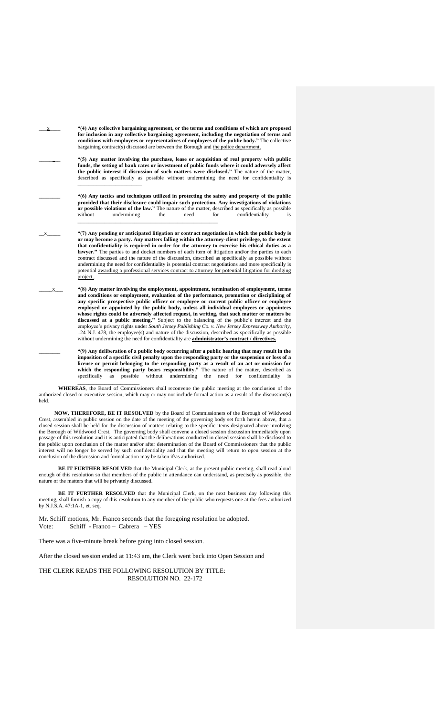| х | "(4) Any collective bargaining agreement, or the terms and conditions of which are proposed<br>for inclusion in any collective bargaining agreement, including the negotiation of terms and<br>conditions with employees or representatives of employees of the public body." The collective<br>bargaining contract(s) discussed are between the Borough and the police department.                                                                                                                                                                                                                                                                                                                                                                                                                                                                                                     |
|---|-----------------------------------------------------------------------------------------------------------------------------------------------------------------------------------------------------------------------------------------------------------------------------------------------------------------------------------------------------------------------------------------------------------------------------------------------------------------------------------------------------------------------------------------------------------------------------------------------------------------------------------------------------------------------------------------------------------------------------------------------------------------------------------------------------------------------------------------------------------------------------------------|
|   | "(5) Any matter involving the purchase, lease or acquisition of real property with public<br>funds, the setting of bank rates or investment of public funds where it could adversely affect<br>the public interest if discussion of such matters were disclosed." The nature of the matter,<br>described as specifically as possible without undermining the need for confidentiality is                                                                                                                                                                                                                                                                                                                                                                                                                                                                                                |
|   | "(6) Any tactics and techniques utilized in protecting the safety and property of the public<br>provided that their disclosure could impair such protection. Any investigations of violations<br>or possible violations of the law." The nature of the matter, described as specifically as possible<br>without<br>undermining<br>need<br>for<br>confidentiality<br>the<br>is                                                                                                                                                                                                                                                                                                                                                                                                                                                                                                           |
| X | "(7) Any pending or anticipated litigation or contract negotiation in which the public body is<br>or may become a party. Any matters falling within the attorney-client privilege, to the extent<br>that confidentiality is required in order for the attorney to exercise his ethical duties as a<br>lawyer." The parties to and docket numbers of each item of litigation and/or the parties to each<br>contract discussed and the nature of the discussion, described as specifically as possible without<br>undermining the need for confidentiality is potential contract negotiations and more specifically is<br>potential awarding a professional services contract to attorney for potential litigation for dredging<br>project                                                                                                                                                |
| X | "(8) Any matter involving the employment, appointment, termination of employment, terms<br>and conditions or employment, evaluation of the performance, promotion or disciplining of<br>any specific prospective public officer or employee or current public officer or employee<br>employed or appointed by the public body, unless all individual employees or appointees<br>whose rights could be adversely affected request, in writing, that such matter or matters be<br>discussed at a public meeting." Subject to the balancing of the public's interest and the<br>employee's privacy rights under South Jersey Publishing Co. v. New Jersey Expressway Authority,<br>124 N.J. 478, the employee(s) and nature of the discussion, described as specifically as possible<br>without undermining the need for confidentiality are <b>administrator's contract</b> / directives. |
|   | "(9) Any deliberation of a public body occurring after a public hearing that may result in the<br>imposition of a specific civil penalty upon the responding party or the suspension or loss of a<br>license or permit belonging to the responding party as a result of an act or omission for<br>which the responding party bears responsibility." The nature of the matter, described as                                                                                                                                                                                                                                                                                                                                                                                                                                                                                              |

\_\_\_\_\_\_\_\_\_\_\_\_\_\_\_\_\_\_\_\_\_\_\_ **WHEREAS**, the Board of Commissioners shall reconvene the public meeting at the conclusion of the authorized closed or executive session, which may or may not include formal action as a result of the discussion(s) held.

specifically as possible without undermining the need for confidentiality is

**NOW, THEREFORE, BE IT RESOLVED** by the Board of Commissioners of the Borough of Wildwood Crest, assembled in public session on the date of the meeting of the governing body set forth herein above, that a closed session shall be held for the discussion of matters relating to the specific items designated above involving the Borough of Wildwood Crest. The governing body shall convene a closed session discussion immediately upon passage of this resolution and it is anticipated that the deliberations conducted in closed session shall be disclosed to the public upon conclusion of the matter and/or after determination of the Board of Commissioners that the public interest will no longer be served by such confidentiality and that the meeting will return to open session at the conclusion of the discussion and formal action may be taken if/as authorized.

**BE IT FURTHER RESOLVED** that the Municipal Clerk, at the present public meeting, shall read aloud enough of this resolution so that members of the public in attendance can understand, as precisely as possible, the nature of the matters that will be privately discussed.

**BE IT FURTHER RESOLVED** that the Municipal Clerk, on the next business day following this meeting, shall furnish a copy of this resolution to any member of the public who requests one at the fees authorized by N.J.S.A. 47:1A-1, et. seq.

Mr. Schiff motions, Mr. Franco seconds that the foregoing resolution be adopted. Vote: Schiff - Franco – Cabrera – YES

There was a five-minute break before going into closed session.

After the closed session ended at 11:43 am, the Clerk went back into Open Session and

THE CLERK READS THE FOLLOWING RESOLUTION BY TITLE: RESOLUTION NO. 22-172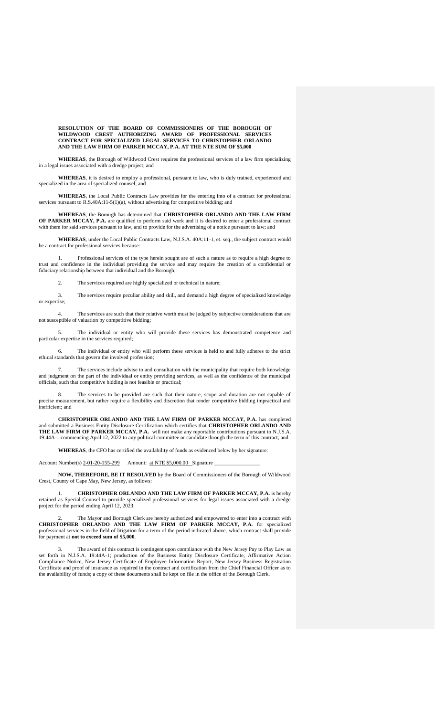**RESOLUTION OF THE BOARD OF COMMISSIONERS OF THE BOROUGH OF WILDWOOD CREST AUTHORIZING AWARD OF PROFESSIONAL SERVICES CONTRACT FOR SPECIALIZED LEGAL SERVICES TO CHRISTOPHER ORLANDO AND THE LAW FIRM OF PARKER MCCAY, P.A. AT THE NTE SUM OF \$5,000** 

**WHEREAS**, the Borough of Wildwood Crest requires the professional services of a law firm specializing in a legal issues associated with a dredge project; and

**WHEREAS**, it is desired to employ a professional, pursuant to law, who is duly trained, experienced and specialized in the area of specialized counsel; and

**WHEREAS**, the Local Public Contracts Law provides for the entering into of a contract for professional services pursuant to R.S.40A:11-5(1)(a), without advertising for competitive bidding; and

**WHEREAS**, the Borough has determined that **CHRISTOPHER ORLANDO AND THE LAW FIRM OF PARKER MCCAY, P.A.** are qualified to perform said work and it is desired to enter a professional contract with them for said services pursuant to law, and to provide for the advertising of a notice pursuant to law; and

**WHEREAS**, under the Local Public Contracts Law, N.J.S.A. 40A:11-1, et. seq., the subject contract would be a contract for professional services because:

1. Professional services of the type herein sought are of such a nature as to require a high degree to trust and confidence in the individual providing the service and may require the creation of a confidential or fiduciary relationship between that individual and the Borough;

2. The services required are highly specialized or technical in nature;

3. The services require peculiar ability and skill, and demand a high degree of specialized knowledge or expertise;

4. The services are such that their relative worth must be judged by subjective considerations that are not susceptible of valuation by competitive bidding;

5. The individual or entity who will provide these services has demonstrated competence and particular expertise in the services required;

The individual or entity who will perform these services is held to and fully adheres to the strict ethical standards that govern the involved profession;

7. The services include advise to and consultation with the municipality that require both knowledge and judgment on the part of the individual or entity providing services, as well as the confidence of the municipal officials, such that competitive bidding is not feasible or practical;

8. The services to be provided are such that their nature, scope and duration are not capable of precise measurement, but rather require a flexibility and discretion that render competitive bidding impractical and inefficient; and

**CHRISTOPHER ORLANDO AND THE LAW FIRM OF PARKER MCCAY, P.A.** has completed and submitted a Business Entity Disclosure Certification which certifies that **CHRISTOPHER ORLANDO AND THE LAW FIRM OF PARKER MCCAY, P.A.** will not make any reportable contributions pursuant to N.J.S.A. 19:44A-1 commencing April 12, 2022 to any political committee or candidate through the term of this contract; and

**WHEREAS**, the CFO has certified the availability of funds as evidenced below by her signature:

Account Number(s) 2-01-20-155-299 Amount: at NTE \$5,000.00 Signature

**NOW, THEREFORE, BE IT RESOLVED** by the Board of Commissioners of the Borough of Wildwood Crest, County of Cape May, New Jersey, as follows:

1. **CHRISTOPHER ORLANDO AND THE LAW FIRM OF PARKER MCCAY, P.A.** is hereby retained as Special Counsel to provide specialized professional services for legal issues associated with a dredge project for the period ending April 12, 2023.

The Mayor and Borough Clerk are hereby authorized and empowered to enter into a contract with **CHRISTOPHER ORLANDO AND THE LAW FIRM OF PARKER MCCAY, P.A.** for specialized professional services in the field of litigation for a term of the period indicated above, which contract shall provide for payment at **not to exceed sum of \$5,000**.

The award of this contract is contingent upon compliance with the New Jersey Pay to Play Law as set forth in N.J.S.A. 19:44A-1; production of the Business Entity Disclosure Certificate, Affirmative Action Compliance Notice, New Jersey Certificate of Employee Information Report, New Jersey Business Registration Certificate and proof of insurance as required in the contract and certification from the Chief Financial Officer as to the availability of funds; a copy of these documents shall be kept on file in the office of the Borough Clerk.